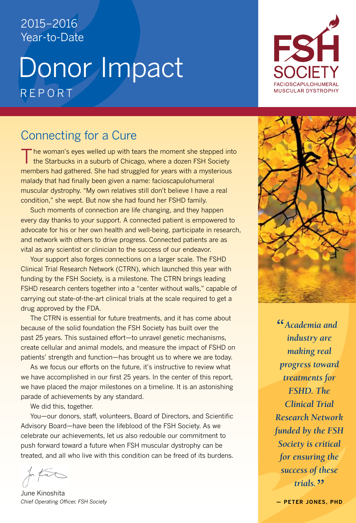## 2015–2016 Year-to-Date

# Donor Impact REPORI



## Connecting for a Cure

 $\Box$  he woman's eyes welled up with tears the moment she stepped into the Starbucks in a suburb of Chicago, where a dozen FSH Society members had gathered. She had struggled for years with a mysterious malady that had finally been given a name: facioscapulohumeral muscular dystrophy. "My own relatives still don't believe I have a real condition," she wept. But now she had found her FSHD family.

Such moments of connection are life changing, and they happen every day thanks to your support. A connected patient is empowered to advocate for his or her own health and well-being, participate in research, and network with others to drive progress. Connected patients are as vital as any scientist or clinician to the success of our endeavor.

Your support also forges connections on a larger scale. The FSHD Clinical Trial Research Network (CTRN), which launched this year with funding by the FSH Society, is a milestone. The CTRN brings leading FSHD research centers together into a "center without walls," capable of carrying out state-of-the-art clinical trials at the scale required to get a drug approved by the FDA.

 The CTRN is essential for future treatments, and it has come about because of the solid foundation the FSH Society has built over the past 25 years. This sustained effort—to unravel genetic mechanisms, create cellular and animal models, and measure the impact of FSHD on patients' strength and function—has brought us to where we are today.

As we focus our efforts on the future, it's instructive to review what we have accomplished in our first 25 years. In the center of this report, we have placed the major milestones on a timeline. It is an astonishing parade of achievements by any standard.

We did this, together.

You—our donors, staff, volunteers, Board of Directors, and Scientific Advisory Board—have been the lifeblood of the FSH Society. As we celebrate our achievements, let us also redouble our commitment to push forward toward a future when FSH muscular dystrophy can be treated, and all who live with this condition can be freed of its burdens.

June Kinoshita *Chief Operating Officer, FSH Society*



*" Academia and industry are making real progress toward treatments for FSHD. The Clinical Trial Research Network funded by the FSH Society is critical for ensuring the success of these trials. "*

**— Peter Jones, PhD**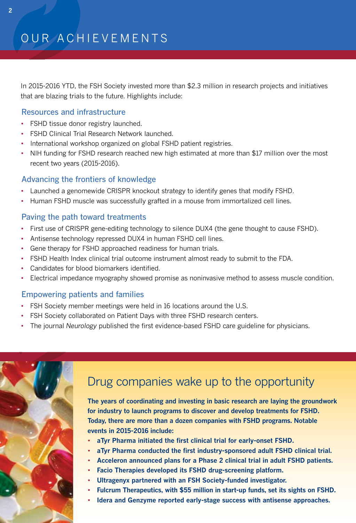In 2015-2016 YTD, the FSH Society invested more than \$2.3 million in research projects and initiatives that are blazing trials to the future. Highlights include:

## Resources and infrastructure

- FSHD tissue donor registry launched.
- FSHD Clinical Trial Research Network launched.
- International workshop organized on global FSHD patient registries.
- NIH funding for FSHD research reached new high estimated at more than \$17 million over the most recent two years (2015-2016).

## Advancing the frontiers of knowledge

- Launched a genomewide CRISPR knockout strategy to identify genes that modify FSHD.
- Human FSHD muscle was successfully grafted in a mouse from immortalized cell lines.

## Paving the path toward treatments

- First use of CRISPR gene-editing technology to silence DUX4 (the gene thought to cause FSHD).
- Antisense technology repressed DUX4 in human FSHD cell lines.
- Gene therapy for FSHD approached readiness for human trials.
- FSHD Health Index clinical trial outcome instrument almost ready to submit to the FDA.
- Candidates for blood biomarkers identified.
- Electrical impedance myography showed promise as noninvasive method to assess muscle condition.

## Empowering patients and families

- FSH Society member meetings were held in 16 locations around the U.S.
- FSH Society collaborated on Patient Days with three FSHD research centers.
- The journal *Neurology* published the first evidence-based FSHD care guideline for physicians.



## Drug companies wake up to the opportunity

**The years of coordinating and investing in basic research are laying the groundwork for industry to launch programs to discover and develop treatments for FSHD. Today, there are more than a dozen companies with FSHD programs. Notable events in 2015-2016 include:**

- **aTyr Pharma initiated the first clinical trial for early-onset FSHD.**
- **aTyr Pharma conducted the first industry-sponsored adult FSHD clinical trial.**
- **Acceleron announced plans for a Phase 2 clinical trial in adult FSHD patients.**
- **Facio Therapies developed its FSHD drug-screening platform.**
- **Ultragenyx partnered with an FSH Society-funded investigator.**
- **Fulcrum Therapeutics, with \$55 million in start-up funds, set its sights on FSHD.**
- **Idera and Genzyme reported early-stage success with antisense approaches.**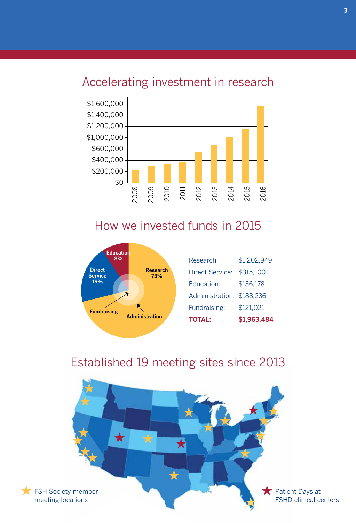## Accelerating investment in research



## How we invested funds in 2015



| <b>TOTAL:</b>             | \$1,963,484 |
|---------------------------|-------------|
| Fundraising:              | \$121,021   |
| Administration: \$188,236 |             |
| <b>Education:</b>         | \$136,178   |
| Direct Service:           | \$315,100   |
| Research:                 | \$1,202,949 |

## Established 19 meeting sites since 2013

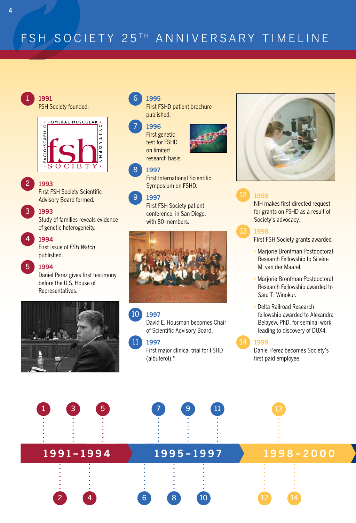## FSH SOCIETY 25TH ANNIVERSARY TIMELINE

#### 1 **1991** FSH Society founded.



#### 2 **1993**

First FSH Society Scientific Advisory Board formed.

### **1993**

3

4

5

Study of families reveals evidence of genetic heterogeneity.

### **1994**

First issue of *FSH Watch*  published.

### **1994**

Daniel Perez gives first testimony before the U.S. House of Representatives.



#### 6 **1995**

First FSHD patient brochure published.

#### 7 **1996**

First genetic test for FSHD on limited research basis.



#### 8 **1997**

First International Scientific Symposium on FSHD.

#### 9 **1997**

First FSH Society patient conference, in San Diego, with 80 members.



#### 10 **1997**

David E. Housman becomes Chair of Scientific Advisory Board.

#### 11 **1997**

First major clinical trial for FSHD (albuterol).\*



## **1998**

NIH makes first directed request for grants on FSHD as a result of Society's advocacy.



First FSH Society grants awarded

- Marjorie Bronfman Postdoctoral Research Fellowship to Silvère M. van der Maarel.
- Marjorie Bronfman Postdoctoral Research Fellowship awarded to Sara T. Winokur.
- Delta Railroad Research fellowship awarded to Alexandra Belayew, PhD, for seminal work leading to discovery of DUX4.

## **1999**

Daniel Perez becomes Society's first paid employee.

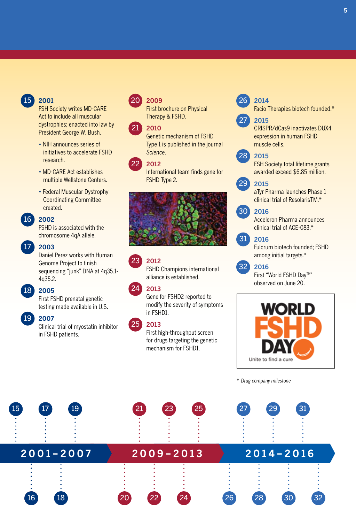## 15

## **2001**

FSH Society writes MD-CARE Act to include all muscular dystrophies; enacted into law by President George W. Bush.

- NIH announces series of initiatives to accelerate FSHD research.
- MD-CARE Act establishes multiple Wellstone Centers.
- Federal Muscular Dystrophy Coordinating Committee created.

## **2002**  16

FSHD is associated with the chromosome 4qA allele.

#### **2003**   $17)$

Daniel Perez works with Human Genome Project to finish sequencing "junk" DNA at 4q35.1- 4q35.2.

#### **2005**  18

First FSHD prenatal genetic testing made available in U.S.

#### **2007**  19

Clinical trial of myostatin inhibitor in FSHD patients.

#### **2009** 20

First brochure on Physical Therapy & FSHD.

#### **2010** 21

Genetic mechanism of FSHD Type 1 is published in the journal *Science*.

#### **2012** 22

International team finds gene for FSHD Type 2.



#### **2012** 23

FSHD Champions international alliance is established.

#### **2013**   $24^{1}$

Gene for FSHD2 reported to modify the severity of symptoms in FSHD1.

#### **2013**   $25)$

First high-throughput screen for drugs targeting the genetic mechanism for FSHD1.

#### 26 **2014**

27

Facio Therapies biotech founded.\*

### **2015**

CRISPR/dCas9 inactivates DUX4 expression in human FSHD muscle cells.

#### **2015** 28

FSH Society total lifetime grants awarded exceed \$6.85 million.

#### **2015** 29

aTyr Pharma launches Phase 1 clinical trial of ResolarisTM.\*

#### **2016**   $30<sup>1</sup>$

Acceleron Pharma announces clinical trial of ACE-083.\*

#### **2016** 31

Fulcrum biotech founded; FSHD among initial targets.\*



#### **2016** 32

First "World FSHD Day™" observed on June 20.



*\* Drug company milestone*

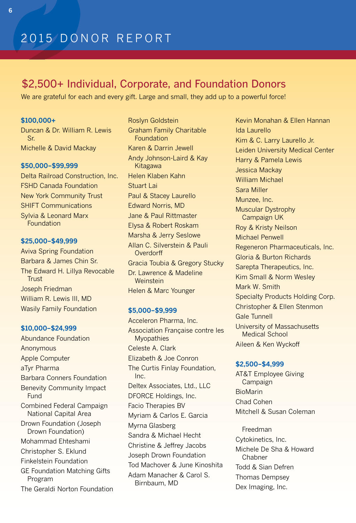## \$2,500+ Individual, Corporate, and Foundation Donors

We are grateful for each and every gift. Large and small, they add up to a powerful force!

## **\$100,000+**

Duncan & Dr. William R. Lewis Sr. Michelle & David Mackay

### **\$50,000–\$99,999**

Delta Railroad Construction, Inc. FSHD Canada Foundation New York Community Trust SHIFT Communications Sylvia & Leonard Marx Foundation

### **\$25,000–\$49,999**

Aviva Spring Foundation Barbara & James Chin Sr. The Edward H. Lillya Revocable **Trust** Joseph Friedman William R. Lewis III, MD Wasily Family Foundation

## **\$10,000–\$24,999**

Abundance Foundation Anonymous Apple Computer aTyr Pharma Barbara Conners Foundation Benevity Community Impact **Fund** Combined Federal Campaign National Capital Area Drown Foundation (Joseph Drown Foundation) Mohammad Ehteshami Christopher S. Eklund Finkelstein Foundation GE Foundation Matching Gifts Program The Geraldi Norton Foundation Roslyn Goldstein Graham Family Charitable Foundation Karen & Darrin Jewell Andy Johnson-Laird & Kay Kitagawa Helen Klaben Kahn Stuart Lai Paul & Stacey Laurello Edward Norris, MD Jane & Paul Rittmaster Elysa & Robert Roskam Marsha & Jerry Seslowe Allan C. Silverstein & Pauli **Overdorff** Gracia Toubia & Gregory Stucky Dr. Lawrence & Madeline **Weinstein** Helen & Marc Younger

### **\$5,000–\$9,999**

Acceleron Pharma, Inc. Association Française contre les **Myopathies** Celeste A. Clark Elizabeth & Joe Conron The Curtis Finlay Foundation, Inc. Deltex Associates, Ltd., LLC DFORCE Holdings, Inc. Facio Therapies BV Myriam & Carlos E. Garcia Myrna Glasberg Sandra & Michael Hecht Christine & Jeffrey Jacobs Joseph Drown Foundation Tod Machover & June Kinoshita Adam Manacher & Carol S. Birnbaum, MD

Kevin Monahan & Ellen Hannan Ida Laurello Kim & C. Larry Laurello Jr. Leiden University Medical Center Harry & Pamela Lewis Jessica Mackay William Michael Sara Miller Munzee, Inc. Muscular Dystrophy Campaign UK Roy & Kristy Neilson Michael Penwell Regeneron Pharmaceuticals, Inc. Gloria & Burton Richards Sarepta Therapeutics, Inc. Kim Small & Norm Wesley Mark W. Smith Specialty Products Holding Corp. Christopher & Ellen Stenmon Gale Tunnell University of Massachusetts Medical School Aileen & Ken Wyckoff

### **\$2,500–\$4,999**

AT&T Employee Giving Campaign BioMarin Chad Cohen Mitchell & Susan Coleman

Freedman Cytokinetics, Inc. Michele De Sha & Howard Chabner Todd & Sian Defren Thomas Dempsey Dex Imaging, Inc.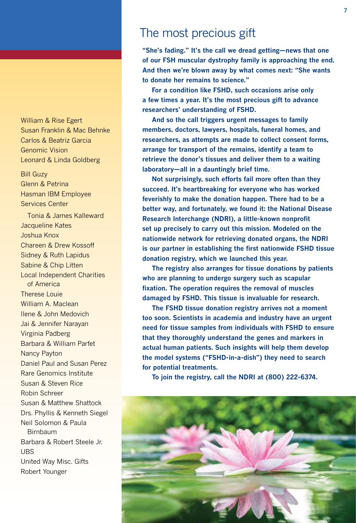William & Rise Egert Susan Franklin & Mac Behnke Carlos & Beatriz Garcia Genomic vision Leonard & Linda Goldberg

Bill Guzy Glenn & Petrina Hasman IBM Employee Services Center

tonia & James Kalleward Jacqueline Kates Joshua Knox Chareen & Drew Kossoff Sidney & Ruth Lapidus Sabine & Chip Litten Local Independent Charities of America **Therese Louie** William A. Maclean Ilene & John Medovich Jai & Jennifer Narayan Virginia Padberg Barbara & William Parfet **Nancy Payton** Daniel Paul and Susan Perez Rare Genomics Institute Susan & Steven Rice Robin Schreer Susan & Matthew Shattock Drs. Phyllis & Kenneth Siegel Neil Solomon & Paula Birnbaum Barbara & Robert Steele Jr. UBS United Way Misc. Gifts Robert Younger

## The most precious gift

**"She's fading." It's the call we dread getting—news that one of our FSH muscular dystrophy family is approaching the end. And then we're blown away by what comes next: "She wants to donate her remains to science."** 

**For a condition like FSHD, such occasions arise only a few times a year. It's the most precious gift to advance researchers' understanding of FSHD.**

**And so the call triggers urgent messages to family members, doctors, lawyers, hospitals, funeral homes, and researchers, as attempts are made to collect consent forms, arrange for transport of the remains, identify a team to retrieve the donor's tissues and deliver them to a waiting laboratory—all in a dauntingly brief time.**

 **Not surprisingly, such efforts fail more often than they succeed. It's heartbreaking for everyone who has worked feverishly to make the donation happen. There had to be a better way, and fortunately, we found it: the National Disease Research Interchange (NDRI), a little-known nonprofit set up precisely to carry out this mission. Modeled on the nationwide network for retrieving donated organs, the NDRI is our partner in establishing the first nationwide FSHD tissue donation registry, which we launched this year.** 

 **The registry also arranges for tissue donations by patients who are planning to undergo surgery such as scapular fixation. The operation requires the removal of muscles damaged by FSHD. This tissue is invaluable for research.**

 **The FSHD tissue donation registry arrives not a moment too soon. Scientists in academia and industry have an urgent need for tissue samples from individuals with FSHD to ensure that they thoroughly understand the genes and markers in actual human patients. Such insights will help them develop the model systems ("FSHD-in-a-dish") they need to search for potential treatments.**

 **To join the registry, call the NDRI at (800) 222-6374.**